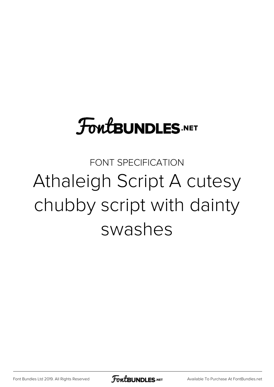# **FoutBUNDLES.NET**

FONT SPECIFICATION Athaleigh Script A cutesy chubby script with dainty swashes

[Font Bundles Ltd 2019. All Rights Reserved](https://fontbundles.net/) **FoutBUNDLES.NET** [Available To Purchase At FontBundles.net](https://fontbundles.net/)

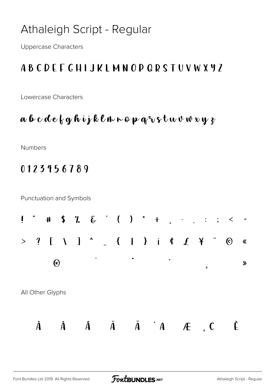# Athaleigh Script - Regular

**Uppercase Characters** 

## **ABCDEFGHIJKLMNOPQRSTUVWXYZ**

Lowercase Characters

#### $a$  b c d e  $\{q h v \}$ k l n n o p q  $v$  s t u v w x y z

Numbers

### 0123456789

**Punctuation and Symbols** 

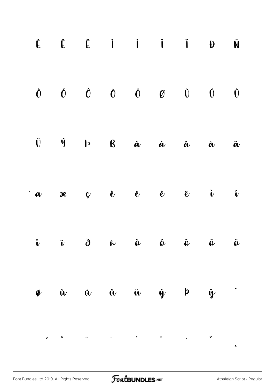|        | $\begin{array}{ccccccccccccccccc} \acute{L} & \acute{L} & \acute{L} & \acute{L} & \acute{I} & \acute{I} & \acute{I} & \acute{I} & \acute{I} & \acute{I} & \end{array}$                                                                                                                                                                                                                                                                                                                       |  |  | Ñ                       |
|--------|----------------------------------------------------------------------------------------------------------------------------------------------------------------------------------------------------------------------------------------------------------------------------------------------------------------------------------------------------------------------------------------------------------------------------------------------------------------------------------------------|--|--|-------------------------|
|        | $\begin{array}{ccccccccccccccccc} \dot{\mathbf{O}} && \dot{\mathbf{O}} && \dot{\mathbf{O}} && \ddot{\mathbf{O}} && \ddot{\mathbf{O}} && \ddot{\mathbf{O}} && \ddot{\mathbf{O}} && \ddot{\mathbf{O}} && \ddot{\mathbf{O}} && \ddot{\mathbf{O}} && \ddot{\mathbf{O}} && \ddot{\mathbf{O}} && \ddot{\mathbf{O}} && \ddot{\mathbf{O}} && \ddot{\mathbf{O}} && \ddot{\mathbf{O}} && \ddot{\mathbf{O}} && \ddot{\mathbf{O}} && \ddot{\mathbf{O}} && \ddot{\mathbf{O}} && \ddot{\mathbf{O}} && \dd$ |  |  |                         |
|        |                                                                                                                                                                                                                                                                                                                                                                                                                                                                                              |  |  | $\ddot{\boldsymbol{a}}$ |
|        | $\dot{a}$ ae ç è é ê ë i                                                                                                                                                                                                                                                                                                                                                                                                                                                                     |  |  | $\mathbf{\hat{v}}$      |
|        | $\hat{\mathbf{u}}$ $\hat{\mathbf{u}}$ $\hat{\mathbf{d}}$ $\hat{\mathbf{v}}$ $\hat{\mathbf{v}}$ $\hat{\mathbf{v}}$ $\hat{\mathbf{v}}$ $\hat{\mathbf{v}}$ $\hat{\mathbf{v}}$ $\hat{\mathbf{v}}$                                                                                                                                                                                                                                                                                                |  |  |                         |
| $\phi$ | $\dot{u}$ $\dot{u}$ $\dot{u}$ $\ddot{u}$ $\dot{y}$ $\dot{p}$ $\ddot{y}$ $\ddot{y}$                                                                                                                                                                                                                                                                                                                                                                                                           |  |  |                         |
|        |                                                                                                                                                                                                                                                                                                                                                                                                                                                                                              |  |  |                         |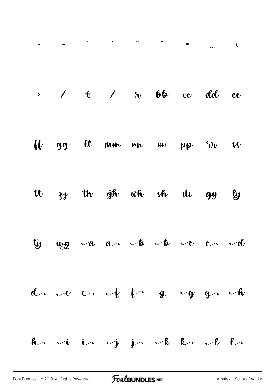